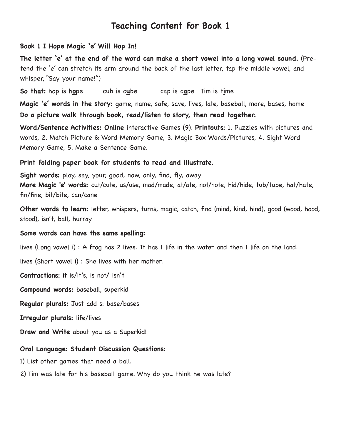#### **Book 1 I Hope Magic 'e' Will Hop In!**

**The letter 'e' at the end of the word can make a short vowel into a long vowel sound.** (Pretend the 'e' can stretch its arm around the back of the last letter, tap the middle vowel, and whisper, "Say your name!")

**So that:** hop is h**o**pe cub is c**u**be cap is c**a**pe Tim is t**i**me

**Magic 'e' words in the story:** game, name, safe, save, lives, late, baseball, more, bases, home **Do a picture walk through book, read/listen to story, then read together.** 

**Word/Sentence Activities: Online** interactive Games (9). **Printouts:** 1. Puzzles with pictures and words, 2. Match Picture & Word Memory Game, 3. Magic Box Words/Pictures, 4. Sight Word Memory Game, 5. Make a Sentence Game.

#### **Print folding paper book for students to read and illustrate.**

**Sight words:** play, say, your, good, now, only, find, fly, away **More Magic 'e' words:** cut/cute, us/use, mad/made, at/ate, not/note, hid/hide, tub/tube, hat/hate, fin/fine, bit/bite, can/cane

**Other words to learn:** letter, whispers, turns, magic, catch, find (mind, kind, hind), good (wood, hood, stood), isn't, ball, hurray

#### **Some words can have the same spelling:**

lives (Long vowel i) : A frog has 2 lives. It has 1 life in the water and then 1 life on the land.

lives (Short vowel i) : She lives with her mother.

**Contractions:** it is/it's, is not/ isn't

**Compound words:** baseball, superkid

**Regular plurals:** Just add s: base/bases

**Irregular plurals:** life/lives

**Draw and Write** about you as a Superkid!

#### **Oral Language: Student Discussion Questions:**

1) List other games that need a ball.

2) Tim was late for his baseball game. Why do you think he was late?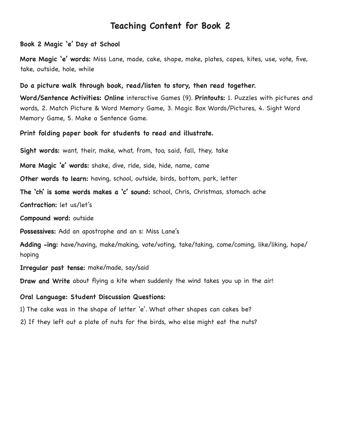#### **Book 2 Magic 'e' Day at School**

**More Magic 'e' words:** Miss Lane, made, cake, shape, make, plates, capes, kites, use, vote, five, take, outside, hole, while

#### **Do a picture walk through book, read/listen to story, then read together.**

**Word/Sentence Activities: Online** interactive Games (9). **Printouts:** 1. Puzzles with pictures and words, 2. Match Picture & Word Memory Game, 3. Magic Box Words/Pictures, 4. Sight Word Memory Game, 5. Make a Sentence Game.

**Print folding paper book for students to read and illustrate.** 

**Sight words:** want, their, make, what, from, too, said, fall, they, take

**More Magic 'e' words:** shake, dive, ride, side, hide, name, came

**Other words to learn:** having, school, outside, birds, bottom, park, letter

**The 'ch' is some words makes a 'c' sound:** school, Chris, Christmas, stomach ache

**Contraction:** let us/let's

**Compound word:** outside

**Possessives:** Add an apostrophe and an s: Miss Lane's

**Adding -ing:** have/having, make/making, vote/voting, take/taking, come/coming, like/liking, hope/ hoping

**Irregular past tense:** make/made, say/said

**Draw and Write** about flying a kite when suddenly the wind takes you up in the air!

#### **Oral Language: Student Discussion Questions:**

1) The cake was in the shape of letter 'e'. What other shapes can cakes be?

2) If they left out a plate of nuts for the birds, who else might eat the nuts?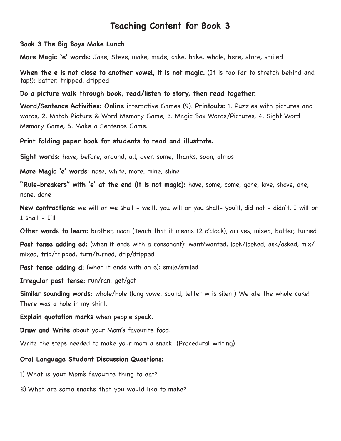**Book 3 The Big Boys Make Lunch**

**More Magic 'e' words:** Jake, Steve, make, made, cake, bake, whole, here, store, smiled

**When the e is not close to another vowel, it is not magic.** (It is too far to stretch behind and tap!): batter, tripped, dripped

**Do a picture walk through book, read/listen to story, then read together.** 

**Word/Sentence Activities: Online** interactive Games (9). **Printouts:** 1. Puzzles with pictures and words, 2. Match Picture & Word Memory Game, 3. Magic Box Words/Pictures, 4. Sight Word Memory Game, 5. Make a Sentence Game.

**Print folding paper book for students to read and illustrate.** 

**Sight words:** have, before, around, all, over, some, thanks, soon, almost

**More Magic 'e' words:** nose, white, more, mine, shine

**"Rule-breakers" with 'e' at the end (it is not magic):** have, some, come, gone, love, shove, one, none, done

**New contractions:** we will or we shall - we'll, you will or you shall- you'll, did not - didn't, I will or  $I$  shall  $-I'll$ 

**Other words to learn:** brother, noon (Teach that it means 12 o'clock), arrives, mixed, batter, turned

**Past tense adding ed:** (when it ends with a consonant): want/wanted, look/looked, ask/asked, mix/ mixed, trip/tripped, turn/turned, drip/dripped

**Past tense adding d:** (when it ends with an e): smile/smiled

**Irregular past tense:** run/ran, get/got

**Similar sounding words:** whole/hole (long vowel sound, letter w is silent) We ate the whole cake! There was a hole in my shirt.

**Explain quotation marks** when people speak.

**Draw and Write** about your Mom's favourite food.

Write the steps needed to make your mom a snack. (Procedural writing)

#### **Oral Language Student Discussion Questions:**

1) What is your Mom's favourite thing to eat?

2) What are some snacks that you would like to make?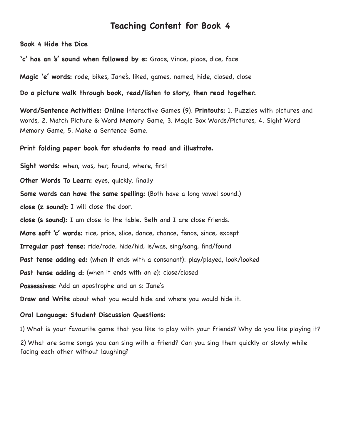**Book 4 Hide the Dice**

**'c' has an 's' sound when followed by e:** Grace, Vince, place, dice, face

**Magic 'e' words:** rode, bikes, Jane's, liked, games, named, hide, closed, close

#### **Do a picture walk through book, read/listen to story, then read together.**

**Word/Sentence Activities: Online** interactive Games (9). **Printouts:** 1. Puzzles with pictures and words, 2. Match Picture & Word Memory Game, 3. Magic Box Words/Pictures, 4. Sight Word Memory Game, 5. Make a Sentence Game.

#### **Print folding paper book for students to read and illustrate.**

**Sight words:** when, was, her, found, where, first **Other Words To Learn:** eyes, quickly, finally **Some words can have the same spelling:** (Both have a long vowel sound.) **close (z sound):** I will close the door. **close (s sound):** I am close to the table. Beth and I are close friends. **More soft 'c' words:** rice, price, slice, dance, chance, fence, since, except **Irregular past tense:** ride/rode, hide/hid, is/was, sing/sang, find/found **Past tense adding ed:** (when it ends with a consonant): play/played, look/looked **Past tense adding d:** (when it ends with an e): close/closed **Possessives:** Add an apostrophe and an s: Jane's **Draw and Write** about what you would hide and where you would hide it.

#### **Oral Language: Student Discussion Questions:**

1) What is your favourite game that you like to play with your friends? Why do you like playing it? 2) What are some songs you can sing with a friend? Can you sing them quickly or slowly while facing each other without laughing?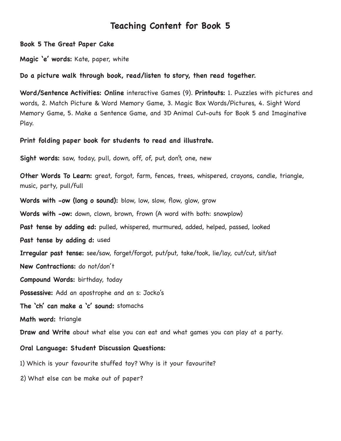**Book 5 The Great Paper Cake**

**Magic 'e' words:** Kate, paper, white

#### **Do a picture walk through book, read/listen to story, then read together.**

**Word/Sentence Activities: Online** interactive Games (9). **Printouts:** 1. Puzzles with pictures and words, 2. Match Picture & Word Memory Game, 3. Magic Box Words/Pictures, 4. Sight Word Memory Game, 5. Make a Sentence Game, and 3D Animal Cut-outs for Book 5 and Imaginative Play.

#### **Print folding paper book for students to read and illustrate.**

**Sight words:** saw, today, pull, down, off, of, put, don't, one, new

**Other Words To Learn:** great, forgot, farm, fences, trees, whispered, crayons, candle, triangle, music, party, pull/full

**Words with -ow (long o sound):** blow, low, slow, flow, glow, grow

**Words with -ow:** down, clown, brown, frown (A word with both: snowplow)

**Past tense by adding ed:** pulled, whispered, murmured, added, helped, passed, looked

**Past tense by adding d:** used

**Irregular past tense:** see/saw, forget/forgot, put/put, take/took, lie/lay, cut/cut, sit/sat

**New Contractions:** do not/don't

**Compound Words:** birthday, today

**Possessive:** Add an apostrophe and an s: Jocko's

**The 'ch' can make a 'c' sound:** stomachs

**Math word:** triangle

**Draw and Write** about what else you can eat and what games you can play at a party.

#### **Oral Language: Student Discussion Questions:**

1) Which is your favourite stuffed toy? Why is it your favourite?

2) What else can be make out of paper?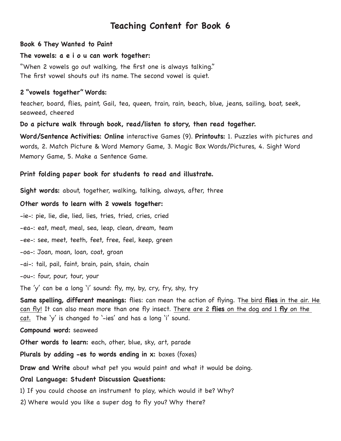#### **Book 6 They Wanted to Paint**

### **The vowels: a e i o u can work together:**

"When 2 vowels go out walking, the first one is always talking." The first vowel shouts out its name. The second vowel is quiet.

## **2 "vowels together" Words:**

teacher, board, flies, paint, Gail, tea, queen, train, rain, beach, blue, jeans, sailing, boat, seek, seaweed, cheered

**Do a picture walk through book, read/listen to story, then read together.** 

**Word/Sentence Activities: Online** interactive Games (9). **Printouts:** 1. Puzzles with pictures and words, 2. Match Picture & Word Memory Game, 3. Magic Box Words/Pictures, 4. Sight Word Memory Game, 5. Make a Sentence Game.

## **Print folding paper book for students to read and illustrate.**

**Sight words:** about, together, walking, talking, always, after, three

## **Other words to learn with 2 vowels together:**

-ie-: pie, lie, die, lied, lies, tries, tried, cries, cried

-ea-: eat, meat, meal, sea, leap, clean, dream, team

-ee-: see, meet, teeth, feet, free, feel, keep, green

-oa-: Joan, moan, loan, coat, groan

-ai-: tail, pail, faint, brain, pain, stain, chain

-ou-: four, pour, tour, your

The 'y' can be a long 'i' sound: fly, my, by, cry, fry, shy, try

**Same spelling, different meanings:** flies: can mean the action of flying. The bird **flies** in the air. He can fly! It can also mean more than one fly insect. There are 2 **flies** on the dog and 1 **fly** on the cat. The 'y' is changed to '-ies' and has a long 'i' sound.

## **Compound word:** seaweed

**Other words to learn:** each, other, blue, sky, art, parade

**Plurals by adding -es to words ending in x:** boxes (foxes)

**Draw and Write** about what pet you would paint and what it would be doing.

## **Oral Language: Student Discussion Questions:**

1) If you could choose an instrument to play, which would it be? Why?

2) Where would you like a super dog to fly you? Why there?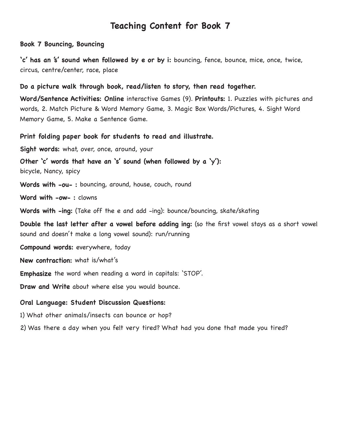#### **Book 7 Bouncing, Bouncing**

**'c' has an 's' sound when followed by e or by i:** bouncing, fence, bounce, mice, once, twice, circus, centre/center, race, place

#### **Do a picture walk through book, read/listen to story, then read together.**

**Word/Sentence Activities: Online** interactive Games (9). **Printouts:** 1. Puzzles with pictures and words, 2. Match Picture & Word Memory Game, 3. Magic Box Words/Pictures, 4. Sight Word Memory Game, 5. Make a Sentence Game.

**Print folding paper book for students to read and illustrate.** 

**Sight words:** what, over, once, around, your

**Other 'c' words that have an 's' sound (when followed by a 'y'):**  bicycle, Nancy, spicy

**Words with -ou- :** bouncing, around, house, couch, round

**Word with -ow- :** clowns

**Words with -ing:** (Take off the e and add -ing): bounce/bouncing, skate/skating

**Double the last letter after a vowel before adding ing:** (so the first vowel stays as a short vowel sound and doesn't make a long vowel sound): run/running

**Compound words:** everywhere, today

**New contraction:** what is/what's

**Emphasize** the word when reading a word in capitals: 'STOP'.

**Draw and Write** about where else you would bounce.

#### **Oral Language: Student Discussion Questions:**

1) What other animals/insects can bounce or hop?

2) Was there a day when you felt very tired? What had you done that made you tired?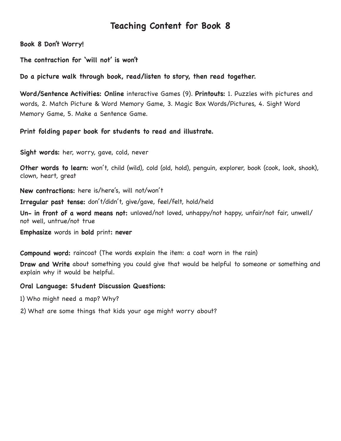**Book 8 Don't Worry!**

**The contraction for 'will not' is won't** 

**Do a picture walk through book, read/listen to story, then read together.** 

**Word/Sentence Activities: Online** interactive Games (9). **Printouts:** 1. Puzzles with pictures and words, 2. Match Picture & Word Memory Game, 3. Magic Box Words/Pictures, 4. Sight Word Memory Game, 5. Make a Sentence Game.

**Print folding paper book for students to read and illustrate.** 

**Sight words:** her, worry, gave, cold, never

**Other words to learn:** won't, child (wild), cold (old, hold), penguin, explorer, book (cook, look, shook), clown, heart, great

**New contractions:** here is/here's, will not/won't

**Irregular past tense:** don't/didn't, give/gave, feel/felt, hold/held

**Un- in front of a word means not:** unloved/not loved, unhappy/not happy, unfair/not fair, unwell/ not well, untrue/not true

**Emphasize** words in **bold** print**: never**

**Compound word:** raincoat (The words explain the item: a coat worn in the rain)

**Draw and Write** about something you could give that would be helpful to someone or something and explain why it would be helpful.

#### **Oral Language: Student Discussion Questions:**

- 1) Who might need a map? Why?
- 2) What are some things that kids your age might worry about?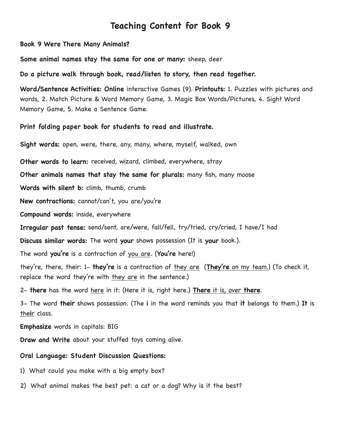**Book 9 Were There Many Animals?**

**Some animal names stay the same for one or many:** sheep, deer

**Do a picture walk through book, read/listen to story, then read together.** 

**Word/Sentence Activities: Online** interactive Games (9). **Printouts:** 1. Puzzles with pictures and words, 2. Match Picture & Word Memory Game, 3. Magic Box Words/Pictures, 4. Sight Word Memory Game, 5. Make a Sentence Game.

**Print folding paper book for students to read and illustrate.** 

**Sight words:** open, were, there, any, many, where, myself, walked, own

**Other words to learn:** received, wizard, climbed, everywhere, stray

**Other animals names that stay the same for plurals:** many fish, many moose

**Words with silent b:** climb, thumb, crumb

**New contractions:** cannot/can't, you are/you're

**Compound words:** inside, everywhere

**Irregular past tense:** send/sent, are/were, fall/fell, try/tried, cry/cried, I have/I had

**Discuss similar words:** The word **your** shows possession (It is **your** book.).

The word **you're** is a contraction of you are. (**You're** here!)

they're, there, their: 1- **they're** is a contraction of they are (**They're** on my team.) (To check it, replace the word they're with they are in the sentence.)

2- **there** has the word here in it: (Here it is, right here.) **There** it is, over **there**.

3- The word **their** shows possession. (The **i** in the word reminds you that **it** belongs to them.) **It** is the**i**r class.

**Emphasize** words in capitals: BIG

**Draw and Write** about your stuffed toys coming alive.

#### **Oral Language: Student Discussion Questions:**

- 1) What could you make with a big empty box?
- 2) What animal makes the best pet: a cat or a dog? Why is it the best?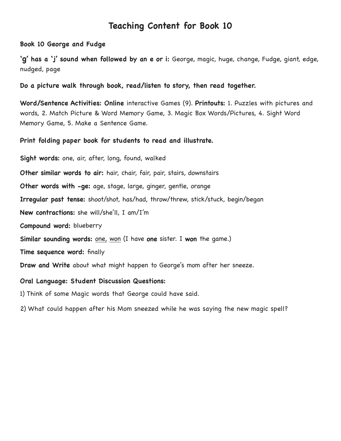**Book 10 George and Fudge**

**'g' has a 'j' sound when followed by an e or i:** George, magic, huge, change, Fudge, giant, edge, nudged, page

**Do a picture walk through book, read/listen to story, then read together.** 

**Word/Sentence Activities: Online** interactive Games (9). **Printouts:** 1. Puzzles with pictures and words, 2. Match Picture & Word Memory Game, 3. Magic Box Words/Pictures, 4. Sight Word Memory Game, 5. Make a Sentence Game.

**Print folding paper book for students to read and illustrate.** 

**Sight words:** one, air, after, long, found, walked **Other similar words to air:** hair, chair, fair, pair, stairs, downstairs **Other words with -ge:** age, stage, large, ginger, gentle, orange **Irregular past tense:** shoot/shot, has/had, throw/threw, stick/stuck, begin/began **New contractions:** she will/she'll, I am/I'm **Compound word:** blueberry **Similar sounding words:** one, won (I have **one** sister. I **won** the game.) **Time sequence word:** finally **Draw and Write** about what might happen to George's mom after her sneeze.

**Oral Language: Student Discussion Questions:**

1) Think of some Magic words that George could have said.

2) What could happen after his Mom sneezed while he was saying the new magic spell?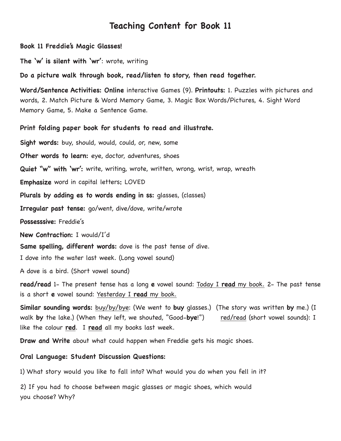**Book 11 Freddie's Magic Glasses!**

**The 'w' is silent with 'wr'**: wrote, writing

**Do a picture walk through book, read/listen to story, then read together.** 

**Word/Sentence Activities: Online** interactive Games (9). **Printouts:** 1. Puzzles with pictures and words, 2. Match Picture & Word Memory Game, 3. Magic Box Words/Pictures, 4. Sight Word Memory Game, 5. Make a Sentence Game.

#### **Print folding paper book for students to read and illustrate.**

**Sight words:** buy, should, would, could, or, new, some **Other words to learn:** eye, doctor, adventures, shoes **Quiet "w" with 'wr':** write, writing, wrote, written, wrong, wrist, wrap, wreath **Emphasize** word in capital letters**:** LOVED **Plurals by adding es to words ending in ss:** glasses, (classes) **Irregular past tense:** go/went, dive/dove, write/wrote **Possesssive:** Freddie's **New Contraction:** I would/I'd **Same spelling, different words:** dove is the past tense of dive. I dove into the water last week. (Long vowel sound)

A dove is a bird. (Short vowel sound)

**read/read** 1- The present tense has a long **e** vowel sound: Today I **read** my book. 2- The past tense is a short **e** vowel sound: Yesterday I **read** my book.

**Similar sounding words:** buy/by/bye: (We went to **buy** glasses.) (The story was written **by** me.) (I walk **by** the lake.) (When they left, we shouted, "Good-**bye**!") red/read (short vowel sounds): I like the colour **red**. I **read** all my books last week.

**Draw and Write** about what could happen when Freddie gets his magic shoes.

**Oral Language: Student Discussion Questions:**

1) What story would you like to fall into? What would you do when you fell in it?

2) If you had to choose between magic glasses or magic shoes, which would you choose? Why?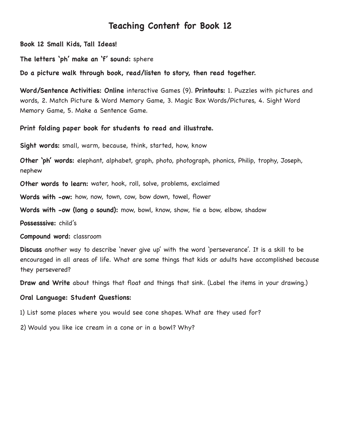**Book 12 Small Kids, Tall Ideas!**

**The letters 'ph' make an 'f' sound:** sphere

**Do a picture walk through book, read/listen to story, then read together.** 

**Word/Sentence Activities: Online** interactive Games (9). **Printouts:** 1. Puzzles with pictures and words, 2. Match Picture & Word Memory Game, 3. Magic Box Words/Pictures, 4. Sight Word Memory Game, 5. Make a Sentence Game.

#### **Print folding paper book for students to read and illustrate.**

**Sight words:** small, warm, because, think, started, how, know

**Other 'ph' words:** elephant, alphabet, graph, photo, photograph, phonics, Philip, trophy, Joseph, nephew

**Other words to learn:** water, hook, roll, solve, problems, exclaimed

**Words with -ow:** how, now, town, cow, bow down, towel, flower

**Words with -ow (long o sound):** mow, bowl, know, show, tie a bow, elbow, shadow

**Possesssive:** child's

**Compound word:** classroom

**Discuss** another way to describe 'never give up' with the word 'perseverance'. It is a skill to be encouraged in all areas of life. What are some things that kids or adults have accomplished because they persevered?

**Draw and Write** about things that float and things that sink. (Label the items in your drawing.)

#### **Oral Language: Student Questions:**

1) List some places where you would see cone shapes. What are they used for?

2) Would you like ice cream in a cone or in a bowl? Why?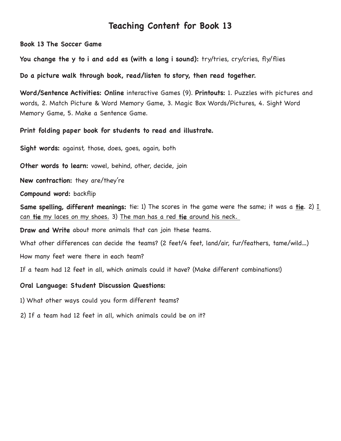**Book 13 The Soccer Game**

**You change the y to i and add es (with a long i sound):** try/tries, cry/cries, fly/flies

**Do a picture walk through book, read/listen to story, then read together.** 

**Word/Sentence Activities: Online** interactive Games (9). **Printouts:** 1. Puzzles with pictures and words, 2. Match Picture & Word Memory Game, 3. Magic Box Words/Pictures, 4. Sight Word Memory Game, 5. Make a Sentence Game.

**Print folding paper book for students to read and illustrate.** 

**Sight words:** against, those, does, goes, again, both

**Other words to learn:** vowel, behind, other, decide, join

**New contraction:** they are/they're

**Compound word:** backflip

**Same spelling, different meanings:** tie: 1) The scores in the game were the same; it was a **tie**. 2) I can **tie** my laces on my shoes. 3) The man has a red **tie** around his neck.

**Draw and Write** about more animals that can join these teams.

What other differences can decide the teams? (2 feet/4 feet, land/air, fur/feathers, tame/wild…)

How many feet were there in each team?

If a team had 12 feet in all, which animals could it have? (Make different combinations!)

**Oral Language: Student Discussion Questions:**

1) What other ways could you form different teams?

2) If a team had 12 feet in all, which animals could be on it?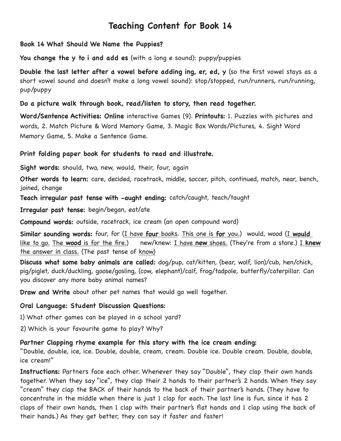#### **Book 14 What Should We Name the Puppies?**

**You change the y to i and add es** (with a long e sound): puppy/puppies

**Double the last letter after a vowel before adding ing, er, ed, y** (so the first vowel stays as a short vowel sound and doesn't make a long vowel sound): stop/stopped, run/runners, run/running, pup/puppy

### **Do a picture walk through book, read/listen to story, then read together.**

**Word/Sentence Activities: Online** interactive Games (9). **Printouts:** 1. Puzzles with pictures and words, 2. Match Picture & Word Memory Game, 3. Magic Box Words/Pictures, 4. Sight Word Memory Game, 5. Make a Sentence Game.

### **Print folding paper book for students to read and illustrate.**

**Sight words:** should, two, new, would, their, four, again

**Other words to learn:** care, decided, racetrack, middle, soccer, pitch, continued, match, near, bench, joined, change

**Teach irregular past tense with -aught ending:** catch/caught, teach/taught

**Irregular past tense:** begin/began, eat/ate

**Compound words:** outside, racetrack, ice cream (an open compound word)

**Similar sounding words:** four, for (I have **four** books. This one is **for** you.) would, wood (I **would** like to go. The **wood** is for the fire.) new/knew: I have **new** shoes. (They're from a store.) I **knew** the answer in class. (The past tense of know)

**Discuss what some baby animals are called:** dog/pup, cat/kitten, (bear, wolf, lion)/cub, hen/chick, pig/piglet, duck/duckling, goose/gosling, (cow, elephant)/calf, frog/tadpole, butterfly/caterpillar. Can you discover any more baby animal names?

**Draw and Write** about other pet names that would go well together.

### **Oral Language: Student Discussion Questions:**

1) What other games can be played in a school yard?

2) Which is your favourite game to play? Why?

### **Partner Clapping rhyme example for this story with the ice cream ending:**

"Double, double, ice, ice. Double, double, cream, cream. Double ice. Double cream. Double, double, ice cream!"

**Instructions:** Partners face each other. Whenever they say "Double", they clap their own hands together. When they say "ice", they clap their 2 hands to their partner's 2 hands. When they say "cream" they clap the BACK of their hands to the back of their partner's hands. (They have to concentrate in the middle when there is just 1 clap for each. The last line is fun, since it has 2 claps of their own hands, then 1 clap with their partner's flat hands and 1 clap using the back of their hands.) As they get better, they can say it faster and faster!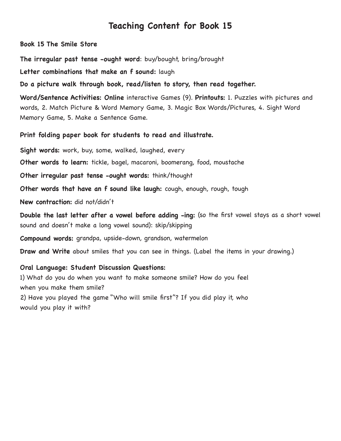**Book 15 The Smile Store** 

**The irregular past tense -ought word**: buy/bought, bring/brought

**Letter combinations that make an f sound:** laugh

**Do a picture walk through book, read/listen to story, then read together.**

**Word/Sentence Activities: Online** interactive Games (9). **Printouts:** 1. Puzzles with pictures and words, 2. Match Picture & Word Memory Game, 3. Magic Box Words/Pictures, 4. Sight Word Memory Game, 5. Make a Sentence Game.

#### **Print folding paper book for students to read and illustrate.**

**Sight words:** work, buy, some, walked, laughed, every

**Other words to learn:** tickle, bagel, macaroni, boomerang, food, moustache

**Other irregular past tense -ought words:** think/thought

**Other words that have an f sound like laugh:** cough, enough, rough, tough

**New contraction:** did not/didn't

**Double the last letter after a vowel before adding -ing:** (so the first vowel stays as a short vowel sound and doesn't make a long vowel sound): skip/skipping

**Compound words:** grandpa, upside-down, grandson, watermelon

**Draw and Write** about smiles that you can see in things. (Label the items in your drawing.)

#### **Oral Language: Student Discussion Questions:**

1) What do you do when you want to make someone smile? How do you feel when you make them smile?

2) Have you played the game "Who will smile first"? If you did play it, who would you play it with?